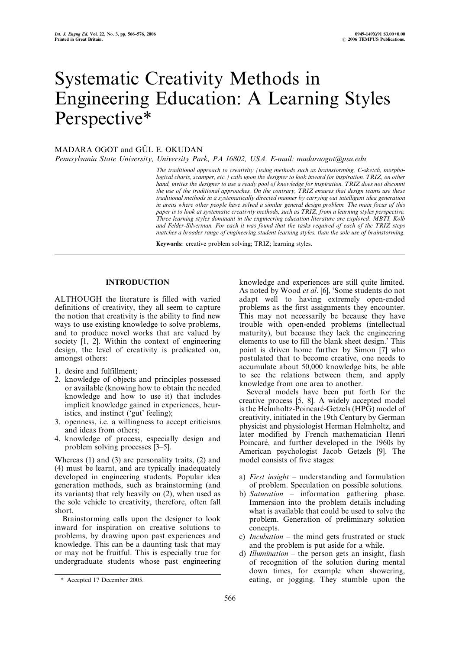# Systematic Creativity Methods in Engineering Education: A Learning Styles Perspective\*

# MADARA OGOT and GÜL E. OKUDAN

Pennsylvania State University, University Park, PA 16802, USA. E-mail: madaraogot@psu.edu

The traditional approach to creativity (using methods such as brainstorming, C-sketch, morphological charts, scamper, etc.) calls upon the designer to look inward for inspiration. TRIZ, on other hand, invites the designer to use a ready pool of knowledge for inspiration. TRIZ does not discount the use of the traditional approaches. On the contrary, TRIZ ensures that design teams use these traditional methods in a systematically directed manner by carrying out intelligent idea generation in areas where other people have solved a similar general design problem. The main focus of this paper is to look at systematic creativity methods, such as TRIZ, from a learning styles perspective. Three learning styles dominant in the engineering education literature are explored: MBTI, Kolb and Felder-Silverman. For each it was found that the tasks required of each of the TRIZ steps matches a broader range of engineering student learning styles, than the sole use of brainstorming.

Keywords: creative problem solving; TRIZ; learning styles.

# INTRODUCTION

ALTHOUGH the literature is filled with varied definitions of creativity, they all seem to capture the notion that creativity is the ability to find new ways to use existing knowledge to solve problems, and to produce novel works that are valued by society [1, 2]. Within the context of engineering design, the level of creativity is predicated on, amongst others:

- 1. desire and fulfillment;
- 2. knowledge of objects and principles possessed or available (knowing how to obtain the needed knowledge and how to use it) that includes implicit knowledge gained in experiences, heuristics, and instinct (`gut' feeling);
- 3. openness, i.e. a willingness to accept criticisms and ideas from others;
- 4. knowledge of process, especially design and problem solving processes  $[3-5]$ .

Whereas (1) and (3) are personality traits, (2) and (4) must be learnt, and are typically inadequately developed in engineering students. Popular idea generation methods, such as brainstorming (and its variants) that rely heavily on (2), when used as the sole vehicle to creativity, therefore, often fall short.

Brainstorming calls upon the designer to look inward for inspiration on creative solutions to problems, by drawing upon past experiences and knowledge. This can be a daunting task that may or may not be fruitful. This is especially true for undergraduate students whose past engineering knowledge and experiences are still quite limited. As noted by Wood et al. [6], 'Some students do not adapt well to having extremely open-ended problems as the first assignments they encounter. This may not necessarily be because they have trouble with open-ended problems (intellectual maturity), but because they lack the engineering elements to use to fill the blank sheet design.' This point is driven home further by Simon [7] who postulated that to become creative, one needs to accumulate about 50,000 knowledge bits, be able to see the relations between them, and apply knowledge from one area to another.

Several models have been put forth for the creative process [5, 8]. A widely accepted model is the Helmholtz-Poincaré-Getzels (HPG) model of creativity, initiated in the 19th Century by German physicist and physiologist Herman Helmholtz, and later modified by French mathematician Henri Poincaré, and further developed in the 1960s by American psychologist Jacob Getzels [9]. The model consists of five stages:

- a) First insight  $-$  understanding and formulation of problem. Speculation on possible solutions.
- b) Saturation  $-$  information gathering phase. Immersion into the problem details including what is available that could be used to solve the problem. Generation of preliminary solution concepts.
- c) *Incubation*  $-$  the mind gets frustrated or stuck and the problem is put aside for a while.
- d) Illumination  $-$  the person gets an insight, flash of recognition of the solution during mental down times, for example when showering, \* Accepted 17 December 2005. eating, or jogging. They stumble upon the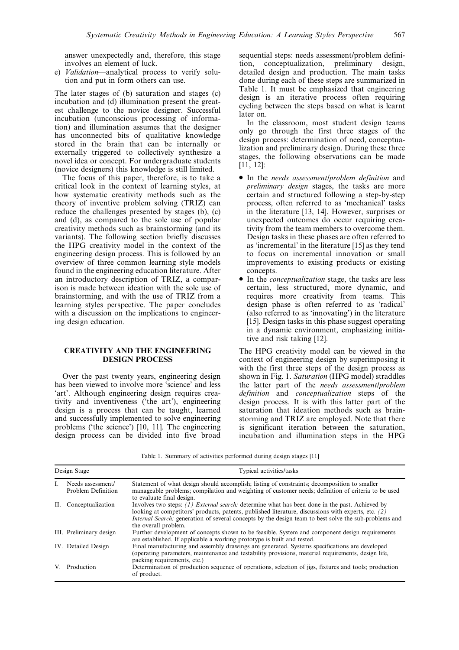answer unexpectedly and, therefore, this stage involves an element of luck.

e) Validation-analytical process to verify solution and put in form others can use.

The later stages of (b) saturation and stages (c) incubation and (d) illumination present the greatest challenge to the novice designer. Successful incubation (unconscious processing of information) and illumination assumes that the designer has unconnected bits of qualitative knowledge stored in the brain that can be internally or externally triggered to collectively synthesize a novel idea or concept. For undergraduate students (novice designers) this knowledge is still limited.

The focus of this paper, therefore, is to take a critical look in the context of learning styles, at how systematic creativity methods such as the theory of inventive problem solving (TRIZ) can reduce the challenges presented by stages (b), (c) and (d), as compared to the sole use of popular creativity methods such as brainstorming (and its variants). The following section briefly discusses the HPG creativity model in the context of the engineering design process. This is followed by an overview of three common learning style models found in the engineering education literature. After an introductory description of TRIZ, a comparison is made between ideation with the sole use of brainstorming, and with the use of TRIZ from a learning styles perspective. The paper concludes with a discussion on the implications to engineering design education.

# CREATIVITY AND THE ENGINEERING DESIGN PROCESS

Over the past twenty years, engineering design has been viewed to involve more 'science' and less `art'. Although engineering design requires creativity and inventiveness (`the art'), engineering design is a process that can be taught, learned and successfully implemented to solve engineering problems (`the science') [10, 11]. The engineering design process can be divided into five broad

sequential steps: needs assessment/problem definition, conceptualization, preliminary design, detailed design and production. The main tasks done during each of these steps are summarized in Table 1. It must be emphasized that engineering design is an iterative process often requiring cycling between the steps based on what is learnt later on.

In the classroom, most student design teams only go through the first three stages of the design process: determination of need, conceptualization and preliminary design. During these three stages, the following observations can be made [11, 12]:

- . In the needs assessment/problem definition and preliminary design stages, the tasks are more certain and structured following a step-by-step process, often referred to as `mechanical' tasks in the literature [13, 14]. However, surprises or unexpected outcomes do occur requiring creativity from the team members to overcome them. Design tasks in these phases are often referred to as `incremental' in the literature [15] as they tend to focus on incremental innovation or small improvements to existing products or existing concepts.
- In the *conceptualization* stage, the tasks are less certain, less structured, more dynamic, and requires more creativity from teams. This design phase is often referred to as `radical' (also referred to as `innovating') in the literature [15]. Design tasks in this phase suggest operating in a dynamic environment, emphasizing initiative and risk taking [12].

The HPG creativity model can be viewed in the context of engineering design by superimposing it with the first three steps of the design process as shown in Fig. 1. Saturation (HPG model) straddles the latter part of the needs assessment/problem definition and conceptualization steps of the design process. It is with this latter part of the saturation that ideation methods such as brainstorming and TRIZ are employed. Note that there is significant iteration between the saturation, incubation and illumination steps in the HPG

Table 1. Summary of activities performed during design stages [11]

|    | Design Stage                            | Typical activities/tasks                                                                                                                                                                                                                                                                                                                                 |
|----|-----------------------------------------|----------------------------------------------------------------------------------------------------------------------------------------------------------------------------------------------------------------------------------------------------------------------------------------------------------------------------------------------------------|
|    | Needs assessment/<br>Problem Definition | Statement of what design should accomplish; listing of constraints; decomposition to smaller<br>manageable problems; compilation and weighting of customer needs; definition of criteria to be used<br>to evaluate final design.                                                                                                                         |
| П. | Conceptualization                       | Involves two steps: $(1)$ <i>External search:</i> determine what has been done in the past. Achieved by<br>looking at competitors' products, patents, published literature, discussions with experts, etc. $(2)$<br><i>Internal Search:</i> generation of several concepts by the design team to best solve the sub-problems and<br>the overall problem. |
|    | III. Preliminary design                 | Further development of concepts shown to be feasible. System and component design requirements<br>are established. If applicable a working prototype is built and tested.                                                                                                                                                                                |
|    | IV. Detailed Design                     | Final manufacturing and assembly drawings are generated. Systems specifications are developed<br>(operating parameters, maintenance and testability provisions, material requirements, design life,<br>packing requirements, etc.)                                                                                                                       |
|    | V. Production                           | Determination of production sequence of operations, selection of jigs, fixtures and tools; production<br>of product.                                                                                                                                                                                                                                     |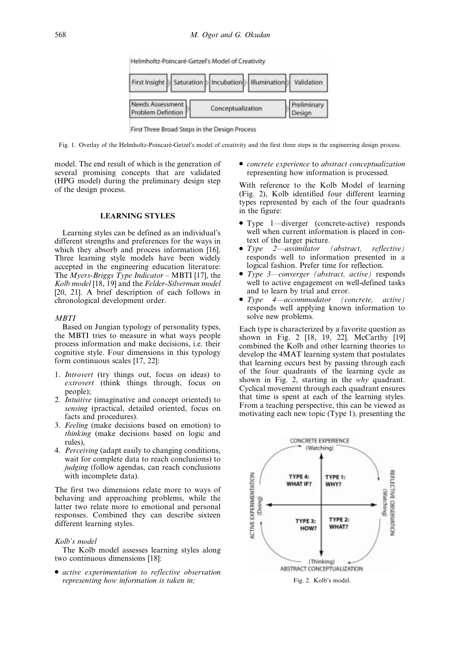Helmholtz-Poincaré-Getzel's Model of Creativity

|                                       |                   | First Insight   Saturation   Incubation   Illumination   Validation |                       |
|---------------------------------------|-------------------|---------------------------------------------------------------------|-----------------------|
| Needs Assessment<br>Problem Defintion | Conceptualization |                                                                     | Preliminary<br>Design |

First Three Broad Steps in the Design Process

Fig. 1. Overlay of the Helmholtz-Poincaré-Getzel's model of creativity and the first three steps in the engineering design process.

model. The end result of which is the generation of several promising concepts that are validated (HPG model) during the preliminary design step of the design process.

# LEARNING STYLES

Learning styles can be defined as an individual's different strengths and preferences for the ways in which they absorb and process information [16]. Three learning style models have been widely accepted in the engineering education literature: The Myers-Briggs Type Indicator – MBTI [17], the Kolb model [18, 19] and the Felder-Silverman model [20, 21]. A brief description of each follows in chronological development order.

#### **MBTI**

Based on Jungian typology of personality types, the MBTI tries to measure in what ways people process information and make decisions, i.e. their cognitive style. Four dimensions in this typology form continuous scales [17, 22]:

- 1. Introvert (try things out, focus on ideas) to extrovert (think things through, focus on people);
- 2. Intuitive (imaginative and concept oriented) to sensing (practical, detailed oriented, focus on facts and procedures).
- 3. Feeling (make decisions based on emotion) to thinking (make decisions based on logic and rules),
- 4. Perceiving (adapt easily to changing conditions, wait for complete data to reach conclusions) to judging (follow agendas, can reach conclusions with incomplete data).

The first two dimensions relate more to ways of behaving and approaching problems, while the latter two relate more to emotional and personal responses. Combined they can describe sixteen different learning styles.

#### Kolb's model

The Kolb model assesses learning styles along two continuous dimensions [18]:

. active experimentation to reflective observation representing how information is taken in;

. concrete experience to abstract conceptualization representing how information is processed.

With reference to the Kolb Model of learning (Fig. 2), Kolb identified four different learning types represented by each of the four quadrants in the figure:

- Type 1—diverger (concrete-active) responds well when current information is placed in context of the larger picture.
- Type  $2$ —assimilator (abstract, reflective) responds well to information presented in a logical fashion. Prefer time for reflection.
- Type 3-converger (abstract, active) responds well to active engagement on well-defined tasks and to learn by trial and error.<br>Type 4—accommodator (concrete,
- $Type \quad 4 \quad \quad \text{accommodator} \quad (concrete, \quad \text{active})$ responds well applying known information to solve new problems.

Each type is characterized by a favorite question as shown in Fig. 2 [18, 19, 22]. McCarthy [19] combined the Kolb and other learning theories to develop the 4MAT learning system that postulates that learning occurs best by passing through each of the four quadrants of the learning cycle as shown in Fig. 2, starting in the why quadrant. Cyclical movement through each quadrant ensures that time is spent at each of the learning styles. From a teaching perspective, this can be viewed as motivating each new topic (Type 1), presenting the



Fig. 2. Kolb's model.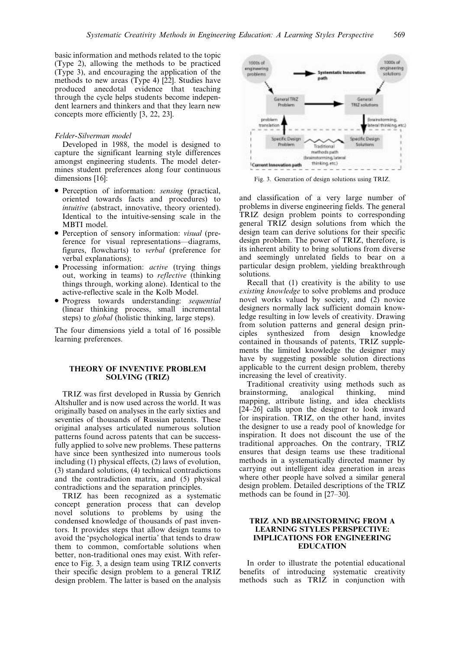basic information and methods related to the topic (Type 2), allowing the methods to be practiced (Type 3), and encouraging the application of the methods to new areas (Type 4) [22]. Studies have produced anecdotal evidence that teaching through the cycle helps students become independent learners and thinkers and that they learn new concepts more efficiently [3, 22, 23].

#### Felder-Silverman model

Developed in 1988, the model is designed to capture the significant learning style differences amongst engineering students. The model determines student preferences along four continuous dimensions [16]:

- . Perception of information: sensing (practical, oriented towards facts and procedures) to intuitive (abstract, innovative, theory oriented). Identical to the intuitive-sensing scale in the MBTI model.
- . Perception of sensory information: visual (preference for visual representations—diagrams, figures, flowcharts) to verbal (preference for verbal explanations);
- . Processing information: active (trying things out, working in teams) to reflective (thinking things through, working alone). Identical to the active-reflective scale in the Kolb Model.
- Progress towards understanding: *sequential* (linear thinking process, small incremental steps) to *global* (holistic thinking, large steps).

The four dimensions yield a total of 16 possible learning preferences.

#### THEORY OF INVENTIVE PROBLEM SOLVING (TRIZ)

TRIZ was first developed in Russia by Genrich Altshuller and is now used across the world. It was originally based on analyses in the early sixties and seventies of thousands of Russian patents. These original analyses articulated numerous solution patterns found across patents that can be successfully applied to solve new problems. These patterns have since been synthesized into numerous tools including (1) physical effects, (2) laws of evolution, (3) standard solutions, (4) technical contradictions and the contradiction matrix, and (5) physical contradictions and the separation principles.

TRIZ has been recognized as a systematic concept generation process that can develop novel solutions to problems by using the condensed knowledge of thousands of past inventors. It provides steps that allow design teams to avoid the `psychological inertia' that tends to draw them to common, comfortable solutions when better, non-traditional ones may exist. With reference to Fig. 3, a design team using TRIZ converts their specific design problem to a general TRIZ design problem. The latter is based on the analysis



Fig. 3. Generation of design solutions using TRIZ.

and classification of a very large number of problems in diverse engineering fields. The general TRIZ design problem points to corresponding general TRIZ design solutions from which the design team can derive solutions for their specific design problem. The power of TRIZ, therefore, is its inherent ability to bring solutions from diverse and seemingly unrelated fields to bear on a particular design problem, yielding breakthrough solutions.

Recall that (1) creativity is the ability to use existing knowledge to solve problems and produce novel works valued by society, and (2) novice designers normally lack sufficient domain knowledge resulting in low levels of creativity. Drawing from solution patterns and general design principles synthesized from design knowledge contained in thousands of patents, TRIZ supplements the limited knowledge the designer may have by suggesting possible solution directions applicable to the current design problem, thereby increasing the level of creativity.

Traditional creativity using methods such as a<br>instorming, analogical thinking, mind brainstorming, analogical thinking, mind mapping, attribute listing, and idea checklists  $[24-26]$  calls upon the designer to look inward for inspiration. TRIZ, on the other hand, invites the designer to use a ready pool of knowledge for inspiration. It does not discount the use of the traditional approaches. On the contrary, TRIZ ensures that design teams use these traditional methods in a systematically directed manner by carrying out intelligent idea generation in areas where other people have solved a similar general design problem. Detailed descriptions of the TRIZ methods can be found in  $[27-30]$ .

# TRIZ AND BRAINSTORMING FROM A LEARNING STYLES PERSPECTIVE: IMPLICATIONS FOR ENGINEERING EDUCATION

In order to illustrate the potential educational benefits of introducing systematic creativity methods such as TRIZ in conjunction with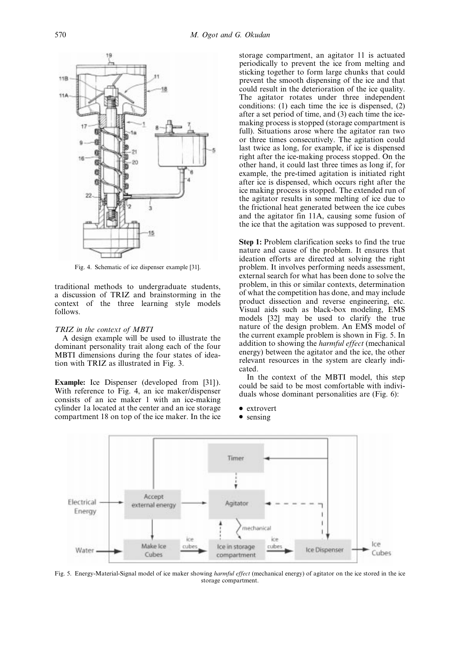

Fig. 4. Schematic of ice dispenser example [31].

traditional methods to undergraduate students, a discussion of TRIZ and brainstorming in the context of the three learning style models follows.

#### TRIZ in the context of MBTI

A design example will be used to illustrate the dominant personality trait along each of the four MBTI dimensions during the four states of ideation with TRIZ as illustrated in Fig. 3.

Example: Ice Dispenser (developed from [31]). With reference to Fig. 4, an ice maker/dispenser consists of an ice maker 1 with an ice-making cylinder 1a located at the center and an ice storage compartment 18 on top of the ice maker. In the ice

storage compartment, an agitator 11 is actuated periodically to prevent the ice from melting and sticking together to form large chunks that could prevent the smooth dispensing of the ice and that could result in the deterioration of the ice quality. The agitator rotates under three independent conditions: (1) each time the ice is dispensed, (2) after a set period of time, and (3) each time the icemaking process is stopped (storage compartment is full). Situations arose where the agitator ran two or three times consecutively. The agitation could last twice as long, for example, if ice is dispensed right after the ice-making process stopped. On the other hand, it could last three times as long if, for example, the pre-timed agitation is initiated right after ice is dispensed, which occurs right after the ice making process is stopped. The extended run of the agitator results in some melting of ice due to the frictional heat generated between the ice cubes and the agitator fin 11A, causing some fusion of the ice that the agitation was supposed to prevent.

Step 1: Problem clarification seeks to find the true nature and cause of the problem. It ensures that ideation efforts are directed at solving the right problem. It involves performing needs assessment, external search for what has been done to solve the problem, in this or similar contexts, determination of what the competition has done, and may include product dissection and reverse engineering, etc. Visual aids such as black-box modeling, EMS models [32] may be used to clarify the true nature of the design problem. An EMS model of the current example problem is shown in Fig. 5. In addition to showing the harmful effect (mechanical energy) between the agitator and the ice, the other relevant resources in the system are clearly indicated.

In the context of the MBTI model, this step could be said to be most comfortable with individuals whose dominant personalities are (Fig. 6):

- extrovert
- sensing



Fig. 5. Energy-Material-Signal model of ice maker showing harmful effect (mechanical energy) of agitator on the ice stored in the ice storage compartment.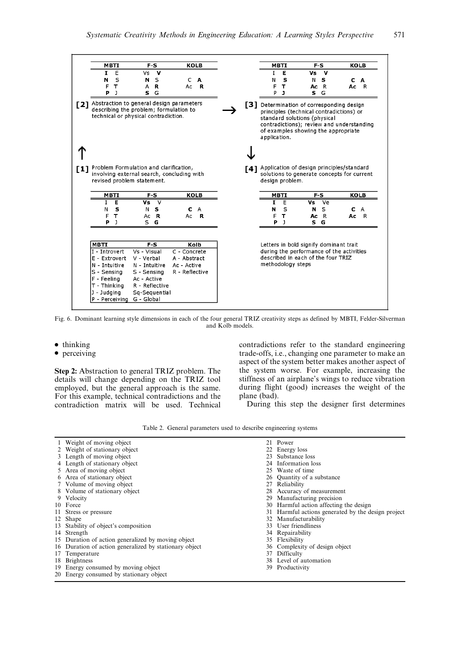|                                                                                                                              | <b>MBTI</b>  | $F-S$                                                                                                                      |   | <b>KOLB</b>                                                           |   |     |                   | <b>MBTI</b>  |                                               | $F-S$ |                                                                                                                                                                       | KOLB         |
|------------------------------------------------------------------------------------------------------------------------------|--------------|----------------------------------------------------------------------------------------------------------------------------|---|-----------------------------------------------------------------------|---|-----|-------------------|--------------|-----------------------------------------------|-------|-----------------------------------------------------------------------------------------------------------------------------------------------------------------------|--------------|
| 1                                                                                                                            | E            | Vs                                                                                                                         | v |                                                                       |   |     | I                 | Е            | ٧s                                            | v     |                                                                                                                                                                       |              |
| N                                                                                                                            | S            | N                                                                                                                          | S | C                                                                     | А |     | N                 | s            | N                                             | s     | c                                                                                                                                                                     | A            |
| F                                                                                                                            | т            | А                                                                                                                          | R | Ac                                                                    | R |     | F                 | т            | Ac                                            | R     | Ac                                                                                                                                                                    | R            |
| Р                                                                                                                            | $\mathbf{1}$ | s                                                                                                                          | G |                                                                       |   |     | P                 | л            |                                               | S G   |                                                                                                                                                                       |              |
| [2]                                                                                                                          |              | Abstraction to general design parameters<br>describing the problem; formulation to<br>technical or physical contradiction. |   |                                                                       |   | [3] | application.      |              | standard solutions (physical                  |       | Determination of corresponding design<br>principles (technical contradictions) or<br>contradictions); review and understanding<br>of examples showing the appropriate |              |
|                                                                                                                              |              |                                                                                                                            |   |                                                                       |   |     |                   |              |                                               |       |                                                                                                                                                                       |              |
| [1]                                                                                                                          |              | Problem Formulation and clarification,<br>involving external search, concluding with<br>revised problem statement.         |   |                                                                       |   |     | design problem.   |              | [4] Application of design principles/standard |       | solutions to generate concepts for current                                                                                                                            |              |
|                                                                                                                              | MBTI         | $F-S$                                                                                                                      |   | KOLB                                                                  |   |     |                   | MBTI         |                                               | F S   |                                                                                                                                                                       | KOLB         |
| T                                                                                                                            | E            | ٧s                                                                                                                         | v |                                                                       |   |     | I.                | Ē            | ٧s                                            | Ve    |                                                                                                                                                                       |              |
| Ν                                                                                                                            | s            | N                                                                                                                          | s | с                                                                     | A |     | N                 | S            | N                                             | S     | с                                                                                                                                                                     | A            |
| F                                                                                                                            | т            | Ac                                                                                                                         | R | Ac                                                                    | R |     | F                 | т            | Ac.                                           | R     | Ac                                                                                                                                                                    | $\mathbb{R}$ |
| Р                                                                                                                            | $\mathbf{I}$ | S                                                                                                                          | G |                                                                       |   |     | P                 | $\mathbf{I}$ |                                               | S G   |                                                                                                                                                                       |              |
| <b>MBTI</b><br>lI - Introvert<br>E - Extrovert<br>N - Intuitive<br>S - Sensing<br>F - Feeling<br>T - Thinking<br>J - Judaina |              | $F-S$<br>Vs - Visual<br>V - Verbal<br>N - Intuitive<br>S - Sensing<br>Ac - Active<br>R - Reflective<br>Sq-Sequential       |   | Kolb<br>C - Concrete<br>A - Abstract<br>Ac - Active<br>R - Reflective |   |     | methodology steps |              | described in each of the four TRIZ            |       | Letters in bold signify dominant trait<br>during the performance of the activities                                                                                    |              |

Fig. 6. Dominant learning style dimensions in each of the four general TRIZ creativity steps as defined by MBTI, Felder-Silverman and Kolb models.

- $\bullet$  thinking
- perceiving

Step 2: Abstraction to general TRIZ problem. The details will change depending on the TRIZ tool employed, but the general approach is the same. For this example, technical contradictions and the contradiction matrix will be used. Technical

contradictions refer to the standard engineering trade-offs, i.e., changing one parameter to make an aspect of the system better makes another aspect of the system worse. For example, increasing the stiffness of an airplane's wings to reduce vibration during flight (good) increases the weight of the plane (bad).

During this step the designer first determines

|  | Table 2. General parameters used to describe engineering systems |  |  |  |
|--|------------------------------------------------------------------|--|--|--|
|  |                                                                  |  |  |  |
|  |                                                                  |  |  |  |

| 1 Weight of moving object                              |     | 21 Power                                           |
|--------------------------------------------------------|-----|----------------------------------------------------|
| 2 Weight of stationary object                          |     | 22 Energy loss                                     |
| 3 Length of moving object                              |     | 23 Substance loss                                  |
| 4 Length of stationary object                          | 24  | Information loss                                   |
| 5 Area of moving object                                |     | 25 Waste of time                                   |
| 6 Area of stationary object                            |     | 26 Quantity of a substance                         |
| 7 Volume of moving object                              |     | 27 Reliability                                     |
| 8 Volume of stationary object                          |     | 28 Accuracy of measurement                         |
| 9 Velocity                                             | 29. | Manufacturing precision                            |
| 10 Force                                               |     | 30 Harmful action affecting the design             |
| 11 Stress or pressure                                  |     | 31 Harmful actions generated by the design project |
| 12 Shape                                               |     | 32 Manufacturability                               |
| 13 Stability of object's composition                   |     | 33 User friendliness                               |
| 14 Strength                                            |     | 34 Repairability                                   |
| 15 Duration of action generalized by moving object     |     | 35 Flexibility                                     |
| 16 Duration of action generalized by stationary object |     | 36 Complexity of design object                     |
| 17 Temperature                                         |     | 37 Difficulty                                      |
| 18 Brightness                                          |     | 38 Level of automation                             |
| 19 Energy consumed by moving object                    |     | 39 Productivity                                    |
| 20 Energy consumed by stationary object                |     |                                                    |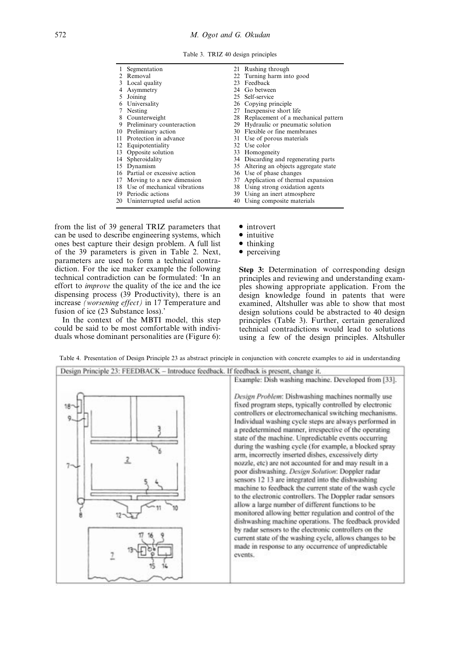Table 3. TRIZ 40 design principles

|   | Segmentation                    |    | 21 Rushing through                     |
|---|---------------------------------|----|----------------------------------------|
|   | 2 Removal                       |    | 22 Turning harm into good              |
|   | 3 Local quality                 | 23 | Feedback                               |
|   | Asymmetry                       | 24 | Go between                             |
|   | Joining                         |    | 25 Self-service                        |
| 6 | Universality                    |    | 26 Copying principle                   |
| 7 | Nesting                         |    | 27 Inexpensive short life              |
|   | 8 Counterweight                 |    | 28 Replacement of a mechanical pattern |
|   | 9 Preliminary counteraction     |    | 29 Hydraulic or pneumatic solution     |
|   | 10 Preliminary action           |    | 30 Flexible or fine membranes          |
|   | 11 Protection in advance        |    | 31 Use of porous materials             |
|   | 12 Equipotentiality             |    | 32 Use color                           |
|   | 13 Opposite solution            |    | 33 Homogeneity                         |
|   | 14 Spheroidality                |    | 34 Discarding and regenerating parts   |
|   | 15 Dynamism                     | 35 | Altering an objects aggregate state    |
|   | 16 Partial or excessive action  |    | 36 Use of phase changes                |
|   | 17 Moving to a new dimension    | 37 | Application of thermal expansion       |
|   | 18 Use of mechanical vibrations |    | 38 Using strong oxidation agents       |
|   | 19 Periodic actions             |    | 39 Using an inert atmosphere           |
|   | 20 Uninterrupted useful action  |    | 40 Using composite materials           |

from the list of 39 general TRIZ parameters that can be used to describe engineering systems, which ones best capture their design problem. A full list of the 39 parameters is given in Table 2. Next, parameters are used to form a technical contradiction. For the ice maker example the following technical contradiction can be formulated: `In an effort to improve the quality of the ice and the ice dispensing process (39 Productivity), there is an increase (worsening effect) in 17 Temperature and fusion of ice (23 Substance loss).'

In the context of the MBTI model, this step could be said to be most comfortable with individuals whose dominant personalities are (Figure 6):

- introvert
- intuitive
- $\bullet$  thinking
- perceiving

Step 3: Determination of corresponding design principles and reviewing and understanding examples showing appropriate application. From the design knowledge found in patents that were examined, Altshuller was able to show that most design solutions could be abstracted to 40 design principles (Table 3). Further, certain generalized technical contradictions would lead to solutions using a few of the design principles. Altshuller

| Design Principle 23: FEEDBACK - Introduce feedback. If feedback is present, change it.                                                                                                                                                                                                                                                                                                                                                                                                                                                                                                                                                                                                                                                                                                                                                                                                                                                                                                                                                                                                                                                                                              |
|-------------------------------------------------------------------------------------------------------------------------------------------------------------------------------------------------------------------------------------------------------------------------------------------------------------------------------------------------------------------------------------------------------------------------------------------------------------------------------------------------------------------------------------------------------------------------------------------------------------------------------------------------------------------------------------------------------------------------------------------------------------------------------------------------------------------------------------------------------------------------------------------------------------------------------------------------------------------------------------------------------------------------------------------------------------------------------------------------------------------------------------------------------------------------------------|
| Example: Dish washing machine. Developed from [33].<br>Design Problem: Dishwashing machines normally use<br>fixed program steps, typically controlled by electronic<br>controllers or electromechanical switching mechanisms.<br>Individual washing cycle steps are always performed in<br>a predetermined manner, irrespective of the operating<br>state of the machine. Unpredictable events occurring<br>during the washing cycle (for example, a blocked spray<br>arm, incorrectly inserted dishes, excessively dirty<br>nozzle, etc) are not accounted for and may result in a<br>poor dishwashing. Design Solution: Doppler radar<br>sensors 12 13 are integrated into the dishwashing<br>machine to feedback the current state of the wash cycle<br>to the electronic controllers. The Doppler radar sensors<br>allow a large number of different functions to be<br>monitored allowing better regulation and control of the<br>dishwashing machine operations. The feedback provided<br>by radar sensors to the electronic controllers on the<br>current state of the washing cycle, allows changes to be<br>made in response to any occurrence of unpredictable<br>events. |
|                                                                                                                                                                                                                                                                                                                                                                                                                                                                                                                                                                                                                                                                                                                                                                                                                                                                                                                                                                                                                                                                                                                                                                                     |

Table 4. Presentation of Design Principle 23 as abstract principle in conjunction with concrete examples to aid in understanding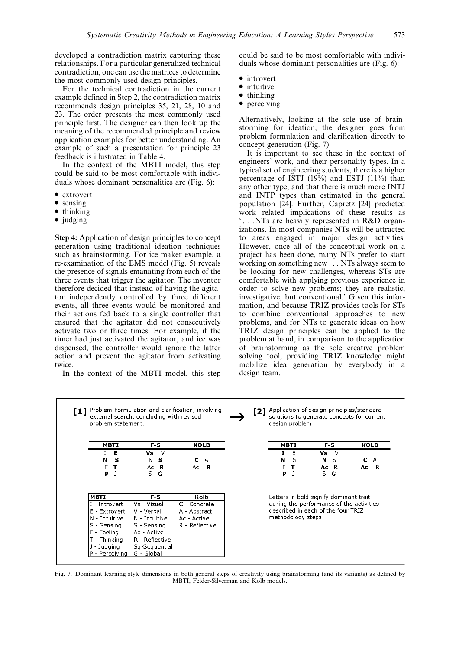developed a contradiction matrix capturing these relationships. For a particular generalized technical contradiction, one can use the matrices to determine the most commonly used design principles.

For the technical contradiction in the current example defined in Step 2, the contradiction matrix recommends design principles 35, 21, 28, 10 and 23. The order presents the most commonly used principle first. The designer can then look up the meaning of the recommended principle and review application examples for better understanding. An example of such a presentation for principle 23 feedback is illustrated in Table 4.

In the context of the MBTI model, this step could be said to be most comfortable with individuals whose dominant personalities are (Fig. 6):

- extrovert
- sensing
- $\bullet$  thinking
- $\bullet$  judging

Step 4: Application of design principles to concept generation using traditional ideation techniques such as brainstorming. For ice maker example, a re-examination of the EMS model (Fig. 5) reveals the presence of signals emanating from each of the three events that trigger the agitator. The inventor therefore decided that instead of having the agitator independently controlled by three different events, all three events would be monitored and their actions fed back to a single controller that ensured that the agitator did not consecutively activate two or three times. For example, if the timer had just activated the agitator, and ice was dispensed, the controller would ignore the latter action and prevent the agitator from activating twice.

In the context of the MBTI model, this step

could be said to be most comfortable with individuals whose dominant personalities are (Fig. 6):

- introvert
- intuitive
- $\bullet$  thinking
- perceiving

Alternatively, looking at the sole use of brainstorming for ideation, the designer goes from problem formulation and clarification directly to concept generation (Fig. 7).

It is important to see these in the context of engineers' work, and their personality types. In a typical set of engineering students, there is a higher percentage of ISTJ (19%) and ESTJ (11%) than any other type, and that there is much more INTJ and INTP types than estimated in the general population [24]. Further, Capretz [24] predicted work related implications of these results as ` . . .NTs are heavily represented in R&D organizations. In most companies NTs will be attracted to areas engaged in major design activities. However, once all of the conceptual work on a project has been done, many NTs prefer to start working on something new . . . NTs always seem to be looking for new challenges, whereas STs are comfortable with applying previous experience in order to solve new problems; they are realistic, investigative, but conventional.' Given this information, and because TRIZ provides tools for STs to combine conventional approaches to new problems, and for NTs to generate ideas on how TRIZ design principles can be applied to the problem at hand, in comparison to the application of brainstorming as the sole creative problem solving tool, providing TRIZ knowledge might mobilize idea generation by everybody in a design team.

| <b>MBTI</b>   | F-S            | <b>KOLB</b>    |  |   | MBTI              |                                    | F-S | <b>KOLB</b>                              |
|---------------|----------------|----------------|--|---|-------------------|------------------------------------|-----|------------------------------------------|
| Е             | <b>Vs</b><br>V |                |  |   | E                 | Vs.                                |     |                                          |
| s<br>N        | s<br>N         | C<br>A         |  | N | S                 | N                                  | S   | C<br>$\mathsf{A}$                        |
| F<br>т        | R<br>Ac        | R<br>Ac        |  | F | т                 | Ac                                 | - R | R<br>Ac                                  |
| Р             | S.<br>G        |                |  | P |                   | S.                                 | G   |                                          |
|               |                |                |  |   |                   |                                    |     |                                          |
| <b>MBTI</b>   | F-S            | Kolb           |  |   |                   |                                    |     | Letters in bold signify dominant trait   |
| I - Introvert | Vs - Visual    | C - Concrete   |  |   |                   |                                    |     |                                          |
| E - Extrovert | V - Verbal     | A - Abstract   |  |   |                   | described in each of the four TRIZ |     |                                          |
| N - Intuitive | N - Intuitive  | Ac - Active    |  |   | methodology steps |                                    |     |                                          |
| S - Sensing   | S - Sensina    | R - Reflective |  |   |                   |                                    |     | during the performance of the activities |
| F - Feeling   | Ac - Active    |                |  |   |                   |                                    |     |                                          |
| T - Thinking  | R - Reflective |                |  |   |                   |                                    |     |                                          |
| J - Judging   | Sq-Sequential  |                |  |   |                   |                                    |     |                                          |

Fig. 7. Dominant learning style dimensions in both general steps of creativity using brainstorming (and its variants) as defined by MBTI, Felder-Silverman and Kolb models.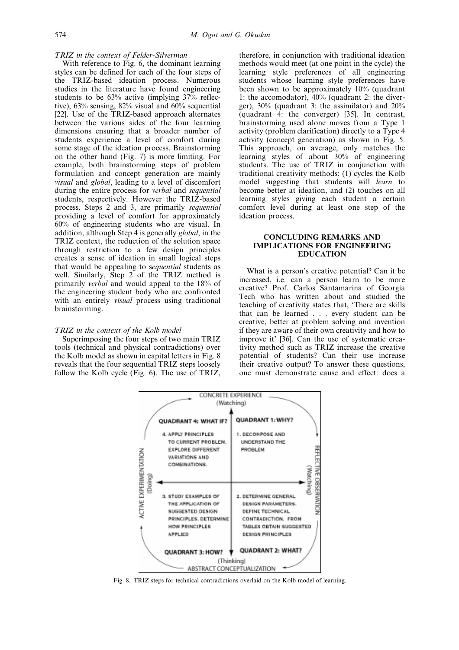#### TRIZ in the context of Felder-Silverman

With reference to Fig. 6, the dominant learning styles can be defined for each of the four steps of the TRIZ-based ideation process. Numerous studies in the literature have found engineering students to be 63% active (implying 37% reflective), 63% sensing, 82% visual and 60% sequential [22]. Use of the TRIZ-based approach alternates between the various sides of the four learning dimensions ensuring that a broader number of students experience a level of comfort during some stage of the ideation process. Brainstorming on the other hand (Fig.  $7$ ) is more limiting. For example, both brainstorming steps of problem formulation and concept generation are mainly visual and global, leading to a level of discomfort during the entire process for verbal and sequential students, respectively. However the TRIZ-based process, Steps 2 and 3, are primarily sequential providing a level of comfort for approximately 60% of engineering students who are visual. In addition, although Step 4 is generally global, in the TRIZ context, the reduction of the solution space through restriction to a few design principles creates a sense of ideation in small logical steps that would be appealing to sequential students as well. Similarly, Step 2 of the TRIZ method is primarily verbal and would appeal to the 18% of the engineering student body who are confronted with an entirely *visual* process using traditional brainstorming.

#### TRIZ in the context of the Kolb model

Superimposing the four steps of two main TRIZ tools (technical and physical contradictions) over the Kolb model as shown in capital letters in Fig. 8 reveals that the four sequential TRIZ steps loosely follow the Kolb cycle (Fig. 6). The use of TRIZ, therefore, in conjunction with traditional ideation methods would meet (at one point in the cycle) the learning style preferences of all engineering students whose learning style preferences have been shown to be approximately 10% (quadrant 1: the accomodator), 40% (quadrant 2: the diverger), 30% (quadrant 3: the assimilator) and 20% (quadrant 4: the converger) [35]. In contrast, brainstorming used alone moves from a Type 1 activity (problem clarification) directly to a Type 4 activity (concept generation) as shown in Fig. 5. This approach, on average, only matches the learning styles of about 30% of engineering students. The use of TRIZ in conjunction with traditional creativity methods: (1) cycles the Kolb model suggesting that students will learn to become better at ideation, and (2) touches on all learning styles giving each student a certain comfort level during at least one step of the ideation process.

#### CONCLUDING REMARKS AND IMPLICATIONS FOR ENGINEERING EDUCATION

What is a person's creative potential? Can it be increased, i.e. can a person learn to be more creative? Prof. Carlos Santamarina of Georgia Tech who has written about and studied the teaching of creativity states that, `There are skills that can be learned . . . every student can be creative, better at problem solving and invention if they are aware of their own creativity and how to improve it' [36]. Can the use of systematic creativity method such as TRIZ increase the creative potential of students? Can their use increase their creative output? To answer these questions, one must demonstrate cause and effect: does a



Fig. 8. TRIZ steps for technical contradictions overlaid on the Kolb model of learning.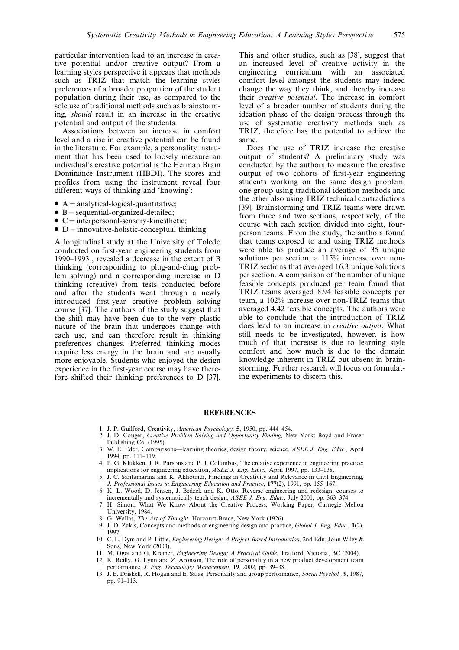particular intervention lead to an increase in creative potential and/or creative output? From a learning styles perspective it appears that methods such as TRIZ that match the learning styles preferences of a broader proportion of the student population during their use, as compared to the sole use of traditional methods such as brainstorming, should result in an increase in the creative potential and output of the students.

Associations between an increase in comfort level and a rise in creative potential can be found in the literature. For example, a personality instrument that has been used to loosely measure an individual's creative potential is the Herman Brain Dominance Instrument (HBDI). The scores and profiles from using the instrument reveal four different ways of thinking and 'knowing':

- A = analytical-logical-quantitative;<br>•  $B =$  sequential-organized-detailed;
- 
- $\bullet$  C = interpersonal-sensory-kinesthetic;
- $\bullet$  D = innovative-holistic-conceptual thinking.

A longitudinal study at the University of Toledo conducted on first-year engineering students from  $1990-1993$ , revealed a decrease in the extent of B thinking (corresponding to plug-and-chug problem solving) and a corresponding increase in D thinking (creative) from tests conducted before and after the students went through a newly introduced first-year creative problem solving course [37]. The authors of the study suggest that the shift may have been due to the very plastic nature of the brain that undergoes change with each use, and can therefore result in thinking preferences changes. Preferred thinking modes require less energy in the brain and are usually more enjoyable. Students who enjoyed the design experience in the first-year course may have therefore shifted their thinking preferences to D [37].

This and other studies, such as [38], suggest that an increased level of creative activity in the engineering curriculum with an associated comfort level amongst the students may indeed change the way they think, and thereby increase their creative potential. The increase in comfort level of a broader number of students during the ideation phase of the design process through the use of systematic creativity methods such as TRIZ, therefore has the potential to achieve the same.

Does the use of TRIZ increase the creative output of students? A preliminary study was conducted by the authors to measure the creative output of two cohorts of first-year engineering students working on the same design problem, one group using traditional ideation methods and the other also using TRIZ technical contradictions [39]. Brainstorming and TRIZ teams were drawn from three and two sections, respectively, of the course with each section divided into eight, fourperson teams. From the study, the authors found that teams exposed to and using TRIZ methods were able to produce an average of 35 unique solutions per section, a 115% increase over non-TRIZ sections that averaged 16.3 unique solutions per section. A comparison of the number of unique feasible concepts produced per team found that TRIZ teams averaged 8.94 feasible concepts per team, a 102% increase over non-TRIZ teams that averaged 4.42 feasible concepts. The authors were able to conclude that the introduction of TRIZ does lead to an increase in creative output. What still needs to be investigated, however, is how much of that increase is due to learning style comfort and how much is due to the domain knowledge inherent in TRIZ but absent in brainstorming. Further research will focus on formulating experiments to discern this.

# **REFERENCES**

- 1. J. P. Guilford, Creativity, American Psychology, 5, 1950, pp. 444-454.
- 2. J. D. Couger, Creative Problem Solving and Opportunity Finding, New York: Boyd and Fraser Publishing Co. (1995).
- 3. W. E. Eder, Comparisons—learning theories, design theory, science, ASEE J. Eng. Educ., April 1994, pp. 111-119.
- 4. P. G. Klukken, J. R. Parsons and P. J. Columbus, The creative experience in engineering practice: implications for engineering education,  $ASEE$  J. Eng. Educ., April 1997, pp. 133–138.
- 5. J. C. Santamarina and K. Akhoundi, Findings in Creativity and Relevance in Civil Engineering, J. Professional Issues in Engineering Education and Practice, 177(2), 1991, pp. 155-167.
- 6. K. L. Wood, D. Jensen, J. Bedzek and K. Otto, Reverse engineering and redesign: courses to incrementally and systematically teach design, ASEE J. Eng. Educ., July 2001, pp. 363-374.
- 7. H. Simon, What We Know About the Creative Process, Working Paper, Carnegie Mellon University, 1984.
- 8. G. Wallas, The Art of Thought, Harcourt-Brace, New York (1926).
- 9. J. D. Zakis, Concepts and methods of engineering design and practice, Global J. Eng. Educ., 1(2), 1997.
- 10. C. L. Dym and P. Little, Engineering Design: A Project-Based Introduction, 2nd Edn, John Wiley & Sons, New York (2003).
- 11. M. Ogot and G. Kremer, *Engineering Design: A Practical Guide*, Trafford, Victoria, BC (2004). 12. R. Reilly, G. Lynn and Z. Aronson, The role of personality in a new product development team
- performance, *J. Eng. Technology Management*, 19, 2002, pp. 39–38. 13. J. E. Driskell, R. Hogan and E. Salas, Personality and group performance, Social Psychol., 9, 1987, pp. 91-113.